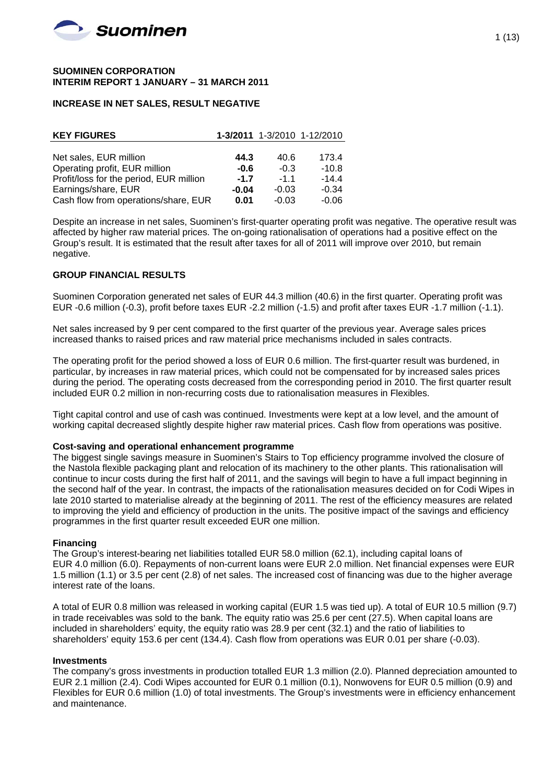

#### **SUOMINEN CORPORATION INTERIM REPORT 1 JANUARY – 31 MARCH 2011**

### **INCREASE IN NET SALES, RESULT NEGATIVE**

| <b>KEY FIGURES</b>                      |         |         | 1-3/2011 1-3/2010 1-12/2010 |
|-----------------------------------------|---------|---------|-----------------------------|
|                                         |         |         |                             |
| Net sales, EUR million                  | 44.3    | 40.6    | 173.4                       |
| Operating profit, EUR million           | $-0.6$  | $-0.3$  | $-10.8$                     |
| Profit/loss for the period, EUR million | $-1.7$  | $-1.1$  | $-14.4$                     |
| Earnings/share, EUR                     | $-0.04$ | $-0.03$ | $-0.34$                     |
| Cash flow from operations/share, EUR    | 0.01    | $-0.03$ | $-0.06$                     |

Despite an increase in net sales, Suominen's first-quarter operating profit was negative. The operative result was affected by higher raw material prices. The on-going rationalisation of operations had a positive effect on the Group's result. It is estimated that the result after taxes for all of 2011 will improve over 2010, but remain negative.

### **GROUP FINANCIAL RESULTS**

Suominen Corporation generated net sales of EUR 44.3 million (40.6) in the first quarter. Operating profit was EUR -0.6 million (-0.3), profit before taxes EUR -2.2 million (-1.5) and profit after taxes EUR -1.7 million (-1.1).

Net sales increased by 9 per cent compared to the first quarter of the previous year. Average sales prices increased thanks to raised prices and raw material price mechanisms included in sales contracts.

The operating profit for the period showed a loss of EUR 0.6 million. The first-quarter result was burdened, in particular, by increases in raw material prices, which could not be compensated for by increased sales prices during the period. The operating costs decreased from the corresponding period in 2010. The first quarter result included EUR 0.2 million in non-recurring costs due to rationalisation measures in Flexibles.

Tight capital control and use of cash was continued. Investments were kept at a low level, and the amount of working capital decreased slightly despite higher raw material prices. Cash flow from operations was positive.

### **Cost-saving and operational enhancement programme**

The biggest single savings measure in Suominen's Stairs to Top efficiency programme involved the closure of the Nastola flexible packaging plant and relocation of its machinery to the other plants. This rationalisation will continue to incur costs during the first half of 2011, and the savings will begin to have a full impact beginning in the second half of the year. In contrast, the impacts of the rationalisation measures decided on for Codi Wipes in late 2010 started to materialise already at the beginning of 2011. The rest of the efficiency measures are related to improving the yield and efficiency of production in the units. The positive impact of the savings and efficiency programmes in the first quarter result exceeded EUR one million.

### **Financing**

The Group's interest-bearing net liabilities totalled EUR 58.0 million (62.1), including capital loans of EUR 4.0 million (6.0). Repayments of non-current loans were EUR 2.0 million. Net financial expenses were EUR 1.5 million (1.1) or 3.5 per cent (2.8) of net sales. The increased cost of financing was due to the higher average interest rate of the loans.

A total of EUR 0.8 million was released in working capital (EUR 1.5 was tied up). A total of EUR 10.5 million (9.7) in trade receivables was sold to the bank. The equity ratio was 25.6 per cent (27.5). When capital loans are included in shareholders' equity, the equity ratio was 28.9 per cent (32.1) and the ratio of liabilities to shareholders' equity 153.6 per cent (134.4). Cash flow from operations was EUR 0.01 per share (-0.03).

### **Investments**

The company's gross investments in production totalled EUR 1.3 million (2.0). Planned depreciation amounted to EUR 2.1 million (2.4). Codi Wipes accounted for EUR 0.1 million (0.1), Nonwovens for EUR 0.5 million (0.9) and Flexibles for EUR 0.6 million (1.0) of total investments. The Group's investments were in efficiency enhancement and maintenance.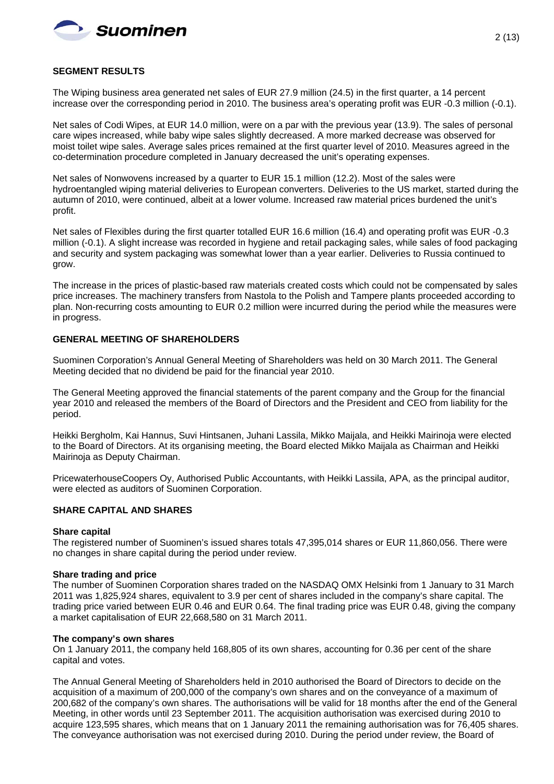

### **SEGMENT RESULTS**

The Wiping business area generated net sales of EUR 27.9 million (24.5) in the first quarter, a 14 percent increase over the corresponding period in 2010. The business area's operating profit was EUR -0.3 million (-0.1).

Net sales of Codi Wipes, at EUR 14.0 million, were on a par with the previous year (13.9). The sales of personal care wipes increased, while baby wipe sales slightly decreased. A more marked decrease was observed for moist toilet wipe sales. Average sales prices remained at the first quarter level of 2010. Measures agreed in the co-determination procedure completed in January decreased the unit's operating expenses.

Net sales of Nonwovens increased by a quarter to EUR 15.1 million (12.2). Most of the sales were hydroentangled wiping material deliveries to European converters. Deliveries to the US market, started during the autumn of 2010, were continued, albeit at a lower volume. Increased raw material prices burdened the unit's profit.

Net sales of Flexibles during the first quarter totalled EUR 16.6 million (16.4) and operating profit was EUR -0.3 million (-0.1). A slight increase was recorded in hygiene and retail packaging sales, while sales of food packaging and security and system packaging was somewhat lower than a year earlier. Deliveries to Russia continued to grow.

The increase in the prices of plastic-based raw materials created costs which could not be compensated by sales price increases. The machinery transfers from Nastola to the Polish and Tampere plants proceeded according to plan. Non-recurring costs amounting to EUR 0.2 million were incurred during the period while the measures were in progress.

### **GENERAL MEETING OF SHAREHOLDERS**

Suominen Corporation's Annual General Meeting of Shareholders was held on 30 March 2011. The General Meeting decided that no dividend be paid for the financial year 2010.

The General Meeting approved the financial statements of the parent company and the Group for the financial year 2010 and released the members of the Board of Directors and the President and CEO from liability for the period.

Heikki Bergholm, Kai Hannus, Suvi Hintsanen, Juhani Lassila, Mikko Maijala, and Heikki Mairinoja were elected to the Board of Directors. At its organising meeting, the Board elected Mikko Maijala as Chairman and Heikki Mairinoja as Deputy Chairman.

PricewaterhouseCoopers Oy, Authorised Public Accountants, with Heikki Lassila, APA, as the principal auditor, were elected as auditors of Suominen Corporation.

### **SHARE CAPITAL AND SHARES**

### **Share capital**

The registered number of Suominen's issued shares totals 47,395,014 shares or EUR 11,860,056. There were no changes in share capital during the period under review.

### **Share trading and price**

The number of Suominen Corporation shares traded on the NASDAQ OMX Helsinki from 1 January to 31 March 2011 was 1,825,924 shares, equivalent to 3.9 per cent of shares included in the company's share capital. The trading price varied between EUR 0.46 and EUR 0.64. The final trading price was EUR 0.48, giving the company a market capitalisation of EUR 22,668,580 on 31 March 2011.

#### **The company's own shares**

On 1 January 2011, the company held 168,805 of its own shares, accounting for 0.36 per cent of the share capital and votes.

The Annual General Meeting of Shareholders held in 2010 authorised the Board of Directors to decide on the acquisition of a maximum of 200,000 of the company's own shares and on the conveyance of a maximum of 200,682 of the company's own shares. The authorisations will be valid for 18 months after the end of the General Meeting, in other words until 23 September 2011. The acquisition authorisation was exercised during 2010 to acquire 123,595 shares, which means that on 1 January 2011 the remaining authorisation was for 76,405 shares. The conveyance authorisation was not exercised during 2010. During the period under review, the Board of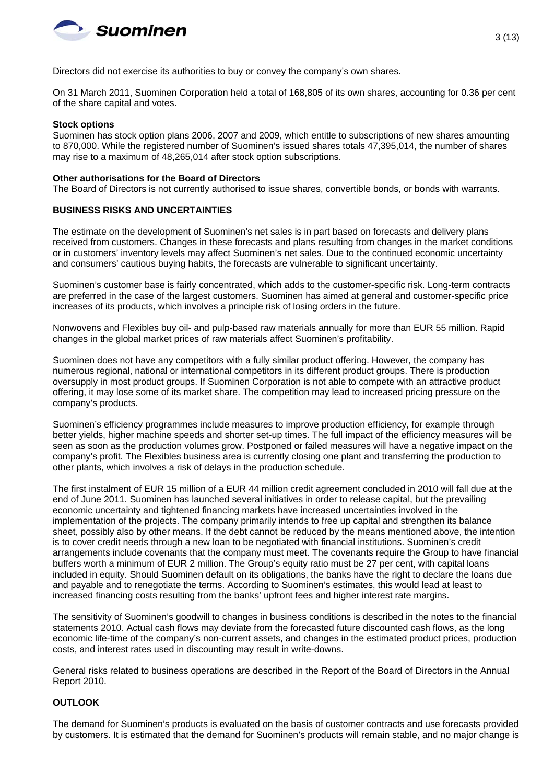

Directors did not exercise its authorities to buy or convey the company's own shares.

On 31 March 2011, Suominen Corporation held a total of 168,805 of its own shares, accounting for 0.36 per cent of the share capital and votes.

#### **Stock options**

Suominen has stock option plans 2006, 2007 and 2009, which entitle to subscriptions of new shares amounting to 870,000. While the registered number of Suominen's issued shares totals 47,395,014, the number of shares may rise to a maximum of 48,265,014 after stock option subscriptions.

### **Other authorisations for the Board of Directors**

The Board of Directors is not currently authorised to issue shares, convertible bonds, or bonds with warrants.

### **BUSINESS RISKS AND UNCERTAINTIES**

The estimate on the development of Suominen's net sales is in part based on forecasts and delivery plans received from customers. Changes in these forecasts and plans resulting from changes in the market conditions or in customers' inventory levels may affect Suominen's net sales. Due to the continued economic uncertainty and consumers' cautious buying habits, the forecasts are vulnerable to significant uncertainty.

Suominen's customer base is fairly concentrated, which adds to the customer-specific risk. Long-term contracts are preferred in the case of the largest customers. Suominen has aimed at general and customer-specific price increases of its products, which involves a principle risk of losing orders in the future.

Nonwovens and Flexibles buy oil- and pulp-based raw materials annually for more than EUR 55 million. Rapid changes in the global market prices of raw materials affect Suominen's profitability.

Suominen does not have any competitors with a fully similar product offering. However, the company has numerous regional, national or international competitors in its different product groups. There is production oversupply in most product groups. If Suominen Corporation is not able to compete with an attractive product offering, it may lose some of its market share. The competition may lead to increased pricing pressure on the company's products.

Suominen's efficiency programmes include measures to improve production efficiency, for example through better yields, higher machine speeds and shorter set-up times. The full impact of the efficiency measures will be seen as soon as the production volumes grow. Postponed or failed measures will have a negative impact on the company's profit. The Flexibles business area is currently closing one plant and transferring the production to other plants, which involves a risk of delays in the production schedule.

The first instalment of EUR 15 million of a EUR 44 million credit agreement concluded in 2010 will fall due at the end of June 2011. Suominen has launched several initiatives in order to release capital, but the prevailing economic uncertainty and tightened financing markets have increased uncertainties involved in the implementation of the projects. The company primarily intends to free up capital and strengthen its balance sheet, possibly also by other means. If the debt cannot be reduced by the means mentioned above, the intention is to cover credit needs through a new loan to be negotiated with financial institutions. Suominen's credit arrangements include covenants that the company must meet. The covenants require the Group to have financial buffers worth a minimum of EUR 2 million. The Group's equity ratio must be 27 per cent, with capital loans included in equity. Should Suominen default on its obligations, the banks have the right to declare the loans due and payable and to renegotiate the terms. According to Suominen's estimates, this would lead at least to increased financing costs resulting from the banks' upfront fees and higher interest rate margins.

The sensitivity of Suominen's goodwill to changes in business conditions is described in the notes to the financial statements 2010. Actual cash flows may deviate from the forecasted future discounted cash flows, as the long economic life-time of the company's non-current assets, and changes in the estimated product prices, production costs, and interest rates used in discounting may result in write-downs.

General risks related to business operations are described in the Report of the Board of Directors in the Annual Report 2010.

### **OUTLOOK**

The demand for Suominen's products is evaluated on the basis of customer contracts and use forecasts provided by customers. It is estimated that the demand for Suominen's products will remain stable, and no major change is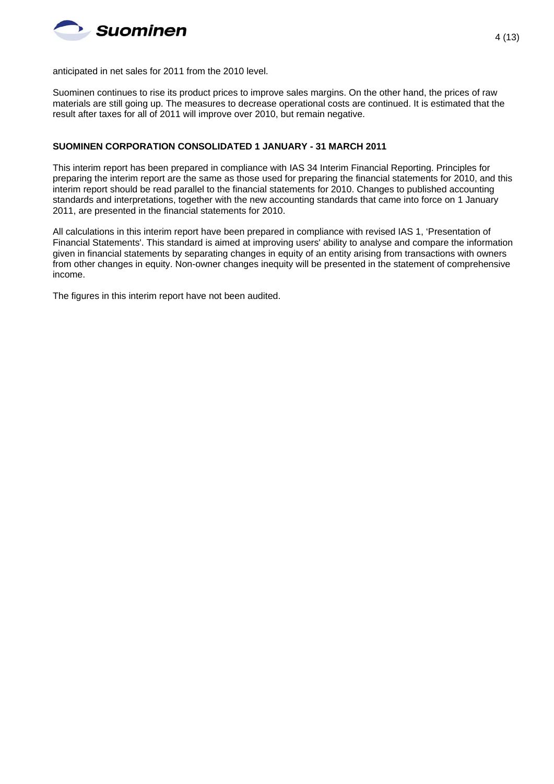

anticipated in net sales for 2011 from the 2010 level.

Suominen continues to rise its product prices to improve sales margins. On the other hand, the prices of raw materials are still going up. The measures to decrease operational costs are continued. It is estimated that the result after taxes for all of 2011 will improve over 2010, but remain negative.

#### **SUOMINEN CORPORATION CONSOLIDATED 1 JANUARY - 31 MARCH 2011**

This interim report has been prepared in compliance with IAS 34 Interim Financial Reporting. Principles for preparing the interim report are the same as those used for preparing the financial statements for 2010, and this interim report should be read parallel to the financial statements for 2010. Changes to published accounting standards and interpretations, together with the new accounting standards that came into force on 1 January 2011, are presented in the financial statements for 2010.

All calculations in this interim report have been prepared in compliance with revised IAS 1, 'Presentation of Financial Statements'. This standard is aimed at improving users' ability to analyse and compare the information given in financial statements by separating changes in equity of an entity arising from transactions with owners from other changes in equity. Non-owner changes inequity will be presented in the statement of comprehensive income.

The figures in this interim report have not been audited.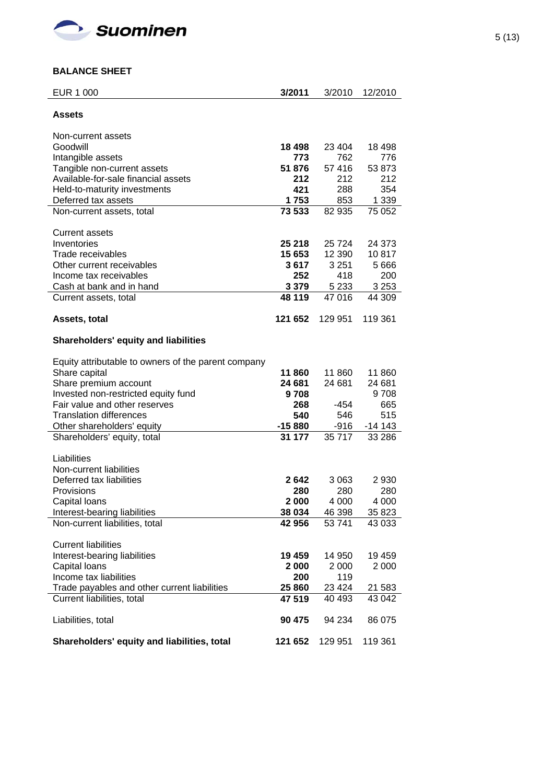

### **BALANCE SHEET**

| <b>EUR 1 000</b>                                    | 3/2011       | 3/2010            | 12/2010           |
|-----------------------------------------------------|--------------|-------------------|-------------------|
| <b>Assets</b>                                       |              |                   |                   |
| Non-current assets                                  |              |                   |                   |
| Goodwill                                            | 18 4 98      | 23 4 04           | 18 498            |
| Intangible assets                                   | 773          | 762               | 776               |
| Tangible non-current assets                         | 51 876       | 57 416            | 53 873            |
| Available-for-sale financial assets                 | 212          | 212               | 212               |
| Held-to-maturity investments                        | 421          | 288               | 354               |
| Deferred tax assets                                 | 1753         | 853               | 1 3 3 9           |
| Non-current assets, total                           | 73 533       | 82 935            | 75 052            |
| <b>Current assets</b>                               |              |                   |                   |
| Inventories                                         | 25 218       | 25 7 24           | 24 373            |
| Trade receivables                                   | 15 653       | 12 390            | 10817             |
| Other current receivables                           | 3 617        | 3 2 5 1           | 5 6 6 6           |
| Income tax receivables                              | 252          | 418               | 200               |
| Cash at bank and in hand                            | 3 3 7 9      | 5 2 3 3<br>47 016 | 3 2 5 3<br>44 309 |
| Current assets, total                               | 48 119       |                   |                   |
| Assets, total                                       | 121 652      | 129 951           | 119 361           |
| <b>Shareholders' equity and liabilities</b>         |              |                   |                   |
| Equity attributable to owners of the parent company |              |                   |                   |
| Share capital                                       | 11860        | 11 860            | 11 860            |
| Share premium account                               | 24 681       | 24 681            | 24 681            |
| Invested non-restricted equity fund                 | 9708         |                   | 9708              |
| Fair value and other reserves                       | 268          | -454              | 665               |
| <b>Translation differences</b>                      | 540          | 546               | 515               |
| Other shareholders' equity                          | $-15880$     | $-916$            | $-14143$          |
| Shareholders' equity, total                         | 31 177       | 35 717            | 33 286            |
| Liabilities                                         |              |                   |                   |
| Non-current liabilities                             |              |                   |                   |
| Deferred tax liabilities                            | 2642         | 3 0 6 3           | 2 9 3 0           |
| Provisions                                          | 280<br>2 000 | 280<br>4 0 0 0    | 280<br>4 0 0 0    |
| Capital loans<br>Interest-bearing liabilities       | 38 034       | 46 398            | 35 823            |
| Non-current liabilities, total                      | 42 956       | 53 741            | 43 033            |
| <b>Current liabilities</b>                          |              |                   |                   |
|                                                     | 19 459       | 14 950            | 19 459            |
| Interest-bearing liabilities<br>Capital loans       | 2 000        | 2 0 0 0           | 2 0 0 0           |
| Income tax liabilities                              | 200          | 119               |                   |
| Trade payables and other current liabilities        | 25 860       | 23 4 24           | 21 583            |
| Current liabilities, total                          | 47 519       | 40 493            | 43 042            |
| Liabilities, total                                  | 90 475       | 94 234            | 86 075            |
| Shareholders' equity and liabilities, total         | 121 652      | 129 951           | 119 361           |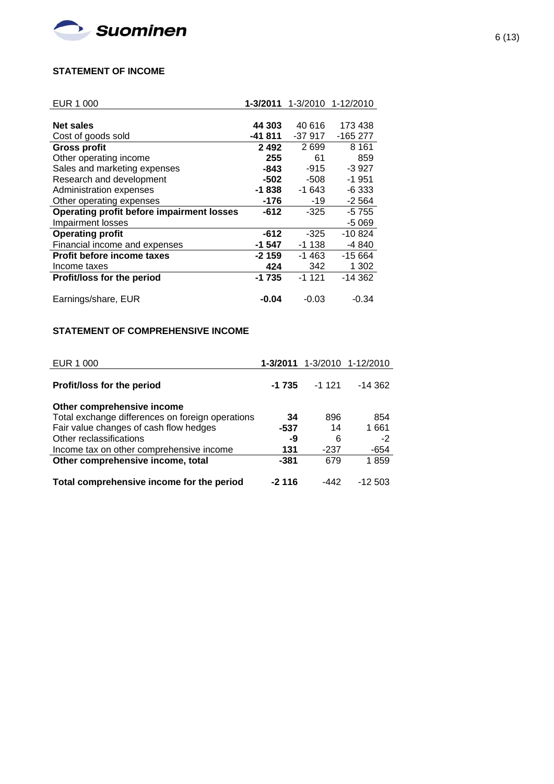

### **STATEMENT OF INCOME**

| EUR 1 000                                        | 1-3/2011 | 1-3/2010 | 1-12/2010 |
|--------------------------------------------------|----------|----------|-----------|
|                                                  |          |          |           |
| <b>Net sales</b>                                 | 44 303   | 40 616   | 173 438   |
| Cost of goods sold                               | $-41811$ | $-37917$ | $-165277$ |
| <b>Gross profit</b>                              | 2492     | 2699     | 8 1 6 1   |
| Other operating income                           | 255      | 61       | 859       |
| Sales and marketing expenses                     | -843     | $-915$   | $-3927$   |
| Research and development                         | -502     | -508     | -1 951    |
| Administration expenses                          | -1838    | -1 643   | -6 333    |
| Other operating expenses                         | -176     | -19      | $-2564$   |
| <b>Operating profit before impairment losses</b> | $-612$   | $-325$   | -5 755    |
| Impairment losses                                |          |          | $-5069$   |
| <b>Operating profit</b>                          | $-612$   | $-325$   | $-10.824$ |
| Financial income and expenses                    | -1 547   | $-1138$  | -4 840    |
| <b>Profit before income taxes</b>                | -2 159   | -1 463   | $-15664$  |
| Income taxes                                     | 424      | 342      | 1 3 0 2   |
| <b>Profit/loss for the period</b>                | -1 735   | $-1121$  | $-14.362$ |
|                                                  |          |          |           |
| Earnings/share, EUR                              | $-0.04$  | $-0.03$  | $-0.34$   |

## **STATEMENT OF COMPREHENSIVE INCOME**

| EUR 1 000                                        |         |         | 1-3/2011 1-3/2010 1-12/2010 |
|--------------------------------------------------|---------|---------|-----------------------------|
| Profit/loss for the period                       | $-1735$ | $-1121$ | $-14.362$                   |
| Other comprehensive income                       |         |         |                             |
| Total exchange differences on foreign operations | 34      | 896     | 854                         |
| Fair value changes of cash flow hedges           | -537    | 14      | 1661                        |
| Other reclassifications                          | -9      | 6       | $-2$                        |
| Income tax on other comprehensive income         | 131     | $-237$  | -654                        |
| Other comprehensive income, total                | -381    | 679     | 1859                        |
| Total comprehensive income for the period        | -2 116  | -442    | $-12503$                    |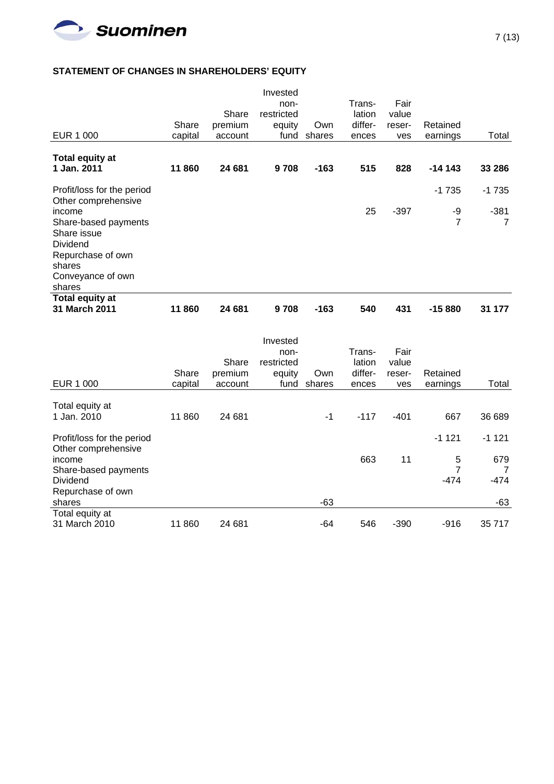

### **STATEMENT OF CHANGES IN SHAREHOLDERS' EQUITY**

|                                                   |         |         | Invested   |        |         |        |                |         |
|---------------------------------------------------|---------|---------|------------|--------|---------|--------|----------------|---------|
|                                                   |         |         | non-       |        | Trans-  | Fair   |                |         |
|                                                   |         | Share   | restricted |        | lation  | value  |                |         |
|                                                   | Share   | premium | equity     | Own    | differ- | reser- | Retained       |         |
| <b>EUR 1 000</b>                                  | capital | account | fund       | shares | ences   | ves    | earnings       | Total   |
|                                                   |         |         |            |        |         |        |                |         |
| <b>Total equity at</b>                            |         |         |            |        |         |        |                |         |
| 1 Jan. 2011                                       | 11860   | 24 681  | 9708       | $-163$ | 515     | 828    | $-14143$       | 33 286  |
| Profit/loss for the period<br>Other comprehensive |         |         |            |        |         |        | $-1735$        | $-1735$ |
| income                                            |         |         |            |        | 25      | $-397$ | -9             | $-381$  |
| Share-based payments<br>Share issue               |         |         |            |        |         |        | $\overline{7}$ | 7       |
| Dividend                                          |         |         |            |        |         |        |                |         |
| Repurchase of own                                 |         |         |            |        |         |        |                |         |
| shares                                            |         |         |            |        |         |        |                |         |
| Conveyance of own                                 |         |         |            |        |         |        |                |         |
| shares                                            |         |         |            |        |         |        |                |         |
| <b>Total equity at</b><br>31 March 2011           | 11860   | 24 681  | 9708       | $-163$ | 540     | 431    | $-15880$       | 31 177  |
|                                                   |         |         |            |        |         |        |                |         |
|                                                   |         |         | Invested   |        |         |        |                |         |
|                                                   |         |         | non-       |        | Trans-  | Fair   |                |         |
|                                                   |         | Share   | restricted |        | lation  | value  |                |         |
|                                                   | Share   | premium | equity     | Own    | differ- | reser- | Retained       |         |
| EUR 1 000                                         | capital | account | fund       | shares | ences   | ves    | earnings       | Total   |
|                                                   |         |         |            |        |         |        |                |         |
| Total equity at<br>1 Jan. 2010                    | 11 860  | 24 681  |            | $-1$   | $-117$  | $-401$ | 667            | 36 689  |
|                                                   |         |         |            |        |         |        |                |         |
| Profit/loss for the period                        |         |         |            |        |         |        | $-1121$        | $-1121$ |
| Other comprehensive<br>income                     |         |         |            |        | 663     | 11     | 5              | 679     |
| Share-based payments                              |         |         |            |        |         |        | 7              | 7       |
| Dividend                                          |         |         |            |        |         |        | $-474$         | $-474$  |
| Repurchase of own                                 |         |         |            |        |         |        |                |         |
| shares                                            |         |         |            | $-63$  |         |        |                | $-63$   |
| Total equity at                                   |         |         |            |        |         |        |                |         |
| 31 March 2010                                     | 11 860  | 24 681  |            | -64    | 546     | $-390$ | $-916$         | 35 717  |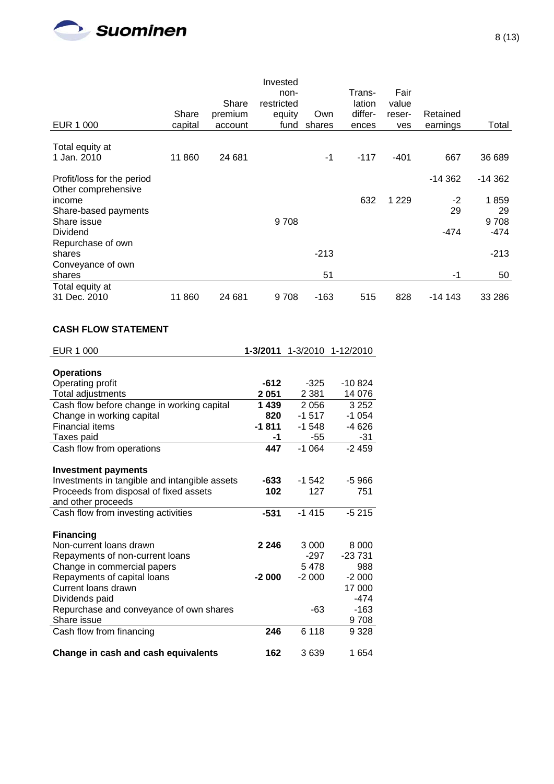

| EUR 1 000                                         | Share<br>capital | Share<br>premium<br>account | Invested<br>non-<br>restricted<br>equity<br>fund | Own<br>shares | Trans-<br>lation<br>differ-<br>ences | Fair<br>value<br>reser-<br>ves | Retained<br>earnings | Total          |
|---------------------------------------------------|------------------|-----------------------------|--------------------------------------------------|---------------|--------------------------------------|--------------------------------|----------------------|----------------|
| Total equity at                                   |                  |                             |                                                  |               |                                      |                                |                      |                |
| 1 Jan. 2010                                       | 11 860           | 24 681                      |                                                  | -1            | $-117$                               | $-401$                         | 667                  | 36 689         |
| Profit/loss for the period<br>Other comprehensive |                  |                             |                                                  |               |                                      |                                | $-14362$             | $-14362$       |
| income                                            |                  |                             |                                                  |               | 632                                  | 1 2 2 9                        | $-2$                 | 1859           |
| Share-based payments                              |                  |                             |                                                  |               |                                      |                                | 29                   | 29             |
| Share issue<br>Dividend                           |                  |                             | 9708                                             |               |                                      |                                | $-474$               | 9708<br>$-474$ |
| Repurchase of own                                 |                  |                             |                                                  |               |                                      |                                |                      |                |
| shares                                            |                  |                             |                                                  | $-213$        |                                      |                                |                      | $-213$         |
| Conveyance of own<br>shares                       |                  |                             |                                                  | 51            |                                      |                                | -1                   | 50             |
| Total equity at                                   |                  |                             |                                                  |               |                                      |                                |                      |                |
| 31 Dec. 2010                                      | 11860            | 24 681                      | 9708                                             | $-163$        | 515                                  | 828                            | $-14143$             | 33 286         |

## **CASH FLOW STATEMENT**

| <b>EUR 1 000</b>                              | 1-3/2011 | 1-3/2010 | 1-12/2010 |
|-----------------------------------------------|----------|----------|-----------|
|                                               |          |          |           |
| <b>Operations</b>                             |          |          |           |
| Operating profit                              | $-612$   | $-325$   | -10 824   |
| Total adjustments                             | 2 0 5 1  | 2 3 8 1  | 14 076    |
| Cash flow before change in working capital    | 1 4 3 9  | 2 0 5 6  | 3 2 5 2   |
| Change in working capital                     | 820      | $-1517$  | $-1054$   |
| <b>Financial items</b>                        | $-1811$  | $-1548$  | -4 626    |
| Taxes paid                                    | -1       | -55      | $-31$     |
| Cash flow from operations                     | 447      | $-1064$  | $-2459$   |
|                                               |          |          |           |
| <b>Investment payments</b>                    |          |          |           |
| Investments in tangible and intangible assets | -633     | $-1.542$ | $-5966$   |
| Proceeds from disposal of fixed assets        | 102      | 127      | 751       |
| and other proceeds                            |          |          |           |
| Cash flow from investing activities           | $-531$   | $-1415$  | $-5215$   |
|                                               |          |          |           |
| <b>Financing</b>                              |          |          |           |
| Non-current loans drawn                       | 2 2 4 6  | 3 0 0 0  | 8 0 0 0   |
| Repayments of non-current loans               |          | -297     | $-23731$  |
| Change in commercial papers                   |          | 5478     | 988       |
| Repayments of capital loans                   | $-2000$  | $-2000$  | $-2000$   |
| Current loans drawn                           |          |          | 17 000    |
| Dividends paid                                |          |          | $-474$    |
| Repurchase and conveyance of own shares       |          | -63      | $-163$    |
| Share issue                                   |          |          | 9708      |
| Cash flow from financing                      | 246      | 6 1 1 8  | 9 3 28    |
|                                               |          |          |           |
| Change in cash and cash equivalents           | 162      | 3639     | 1 654     |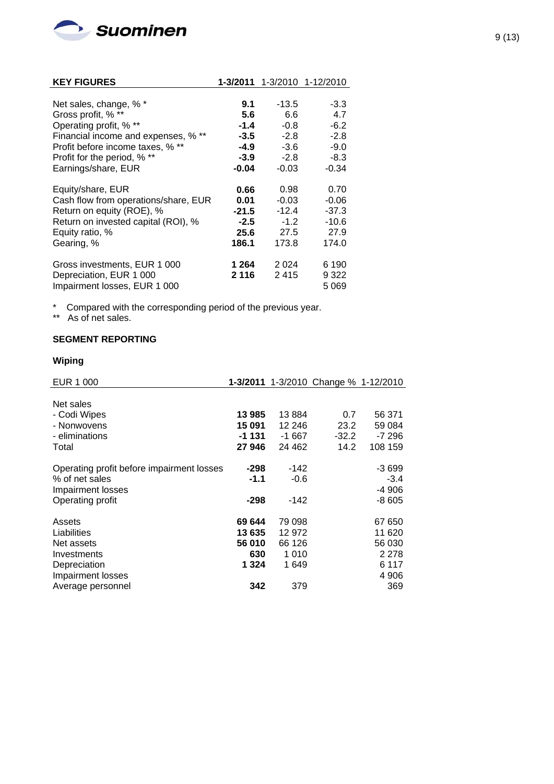

| <b>KEY FIGURES</b>                   | 1-3/2011 |         | 1-3/2010 1-12/2010 |
|--------------------------------------|----------|---------|--------------------|
|                                      |          |         |                    |
| Net sales, change, % *               | 9.1      | $-13.5$ | $-3.3$             |
| Gross profit, % **                   | 5.6      | 6.6     | 4.7                |
| Operating profit, % **               | $-1.4$   | $-0.8$  | $-6.2$             |
| Financial income and expenses, % **  | $-3.5$   | $-2.8$  | $-2.8$             |
| Profit before income taxes, % **     | $-4.9$   | $-3.6$  | $-9.0$             |
| Profit for the period, % **          | $-3.9$   | $-2.8$  | $-8.3$             |
| Earnings/share, EUR                  | $-0.04$  | $-0.03$ | $-0.34$            |
| Equity/share, EUR                    | 0.66     | 0.98    | 0.70               |
| Cash flow from operations/share, EUR | 0.01     | $-0.03$ | $-0.06$            |
| Return on equity (ROE), %            | $-21.5$  | $-12.4$ | $-37.3$            |
| Return on invested capital (ROI), %  | $-2.5$   | $-1.2$  | $-10.6$            |
| Equity ratio, %                      | 25.6     | 27.5    | 27.9               |
| Gearing, %                           | 186.1    | 173.8   | 174.0              |
| Gross investments, EUR 1 000         | 1 264    | 2 0 2 4 | 6 190              |
| Depreciation, EUR 1 000              | 2 1 1 6  | 2415    | 9 322              |
| Impairment losses, EUR 1 000         |          |         | 5 0 6 9            |

\* Compared with the corresponding period of the previous year.

\*\* As of net sales.

# **SEGMENT REPORTING**

### **Wiping**

| EUR 1 000                                 |         |         | 1-3/2011 1-3/2010 Change % 1-12/2010 |         |
|-------------------------------------------|---------|---------|--------------------------------------|---------|
|                                           |         |         |                                      |         |
| Net sales                                 |         |         |                                      |         |
| - Codi Wipes                              | 13 985  | 13884   | 0.7                                  | 56 371  |
| - Nonwovens                               | 15 091  | 12 246  | 23.2                                 | 59 084  |
| - eliminations                            | -1 131  | -1 667  | $-32.2$                              | -7 296  |
| Total                                     | 27946   | 24 4 62 | 14.2                                 | 108 159 |
| Operating profit before impairment losses | -298    | $-142$  |                                      | $-3699$ |
| % of net sales                            | $-1.1$  | $-0.6$  |                                      | $-3.4$  |
| Impairment losses                         |         |         |                                      | $-4906$ |
| Operating profit                          | -298    | $-142$  |                                      | $-8605$ |
| Assets                                    | 69 644  | 79 098  |                                      | 67 650  |
| Liabilities                               | 13 635  | 12 972  |                                      | 11 620  |
| Net assets                                | 56 010  | 66 126  |                                      | 56 030  |
| Investments                               | 630     | 1 0 1 0 |                                      | 2 2 7 8 |
| Depreciation                              | 1 3 2 4 | 1 649   |                                      | 6 117   |
| Impairment losses                         |         |         |                                      | 4 906   |
| Average personnel                         | 342     | 379     |                                      | 369     |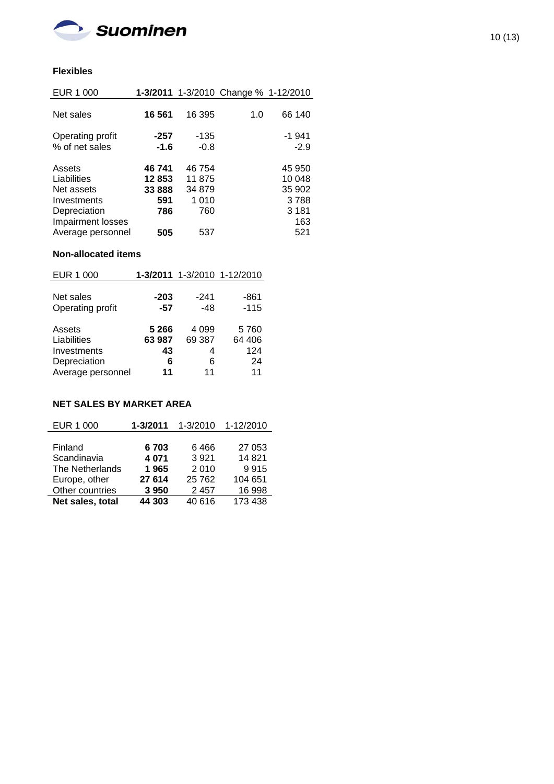

## **Flexibles**

| EUR 1 000                                                                               |                                         |                                         | 1-3/2011 1-3/2010 Change % 1-12/2010 |                                                      |
|-----------------------------------------------------------------------------------------|-----------------------------------------|-----------------------------------------|--------------------------------------|------------------------------------------------------|
| Net sales                                                                               | 16 561                                  | 16 395                                  | 1.0                                  | 66 140                                               |
| Operating profit<br>% of net sales                                                      | $-257$<br>$-1.6$                        | $-135$<br>$-0.8$                        |                                      | $-1941$<br>$-2.9$                                    |
| Assets<br>Liabilities<br>Net assets<br>Investments<br>Depreciation<br>Impairment losses | 46 741<br>12853<br>33 888<br>591<br>786 | 46754<br>11875<br>34 879<br>1010<br>760 |                                      | 45 950<br>10 048<br>35 902<br>3788<br>3 1 8 1<br>163 |
| Average personnel                                                                       | 505                                     | 537                                     |                                      | 521                                                  |

### **Non-allocated items**

| $-203$  | $-241$  | $-861$                      |
|---------|---------|-----------------------------|
| $-57$   | $-48$   | $-115$                      |
|         |         |                             |
| 5 2 6 6 | 4 0 9 9 | 5760                        |
| 63 987  | 69 387  | 64 406                      |
| 43      | 4       | 124                         |
| 6       | 6       | 24                          |
| 11      | 11      | 11                          |
|         |         | 1-3/2011 1-3/2010 1-12/2010 |

# **NET SALES BY MARKET AREA**

| EUR 1 000        | 1-3/2011 | 1-3/2010 | 1-12/2010 |
|------------------|----------|----------|-----------|
|                  |          |          |           |
| Finland          | 6703     | 6466     | 27 053    |
| Scandinavia      | 4 0 7 1  | 3 9 2 1  | 14821     |
| The Netherlands  | 1965     | 2010     | 9915      |
| Europe, other    | 27 614   | 25 7 62  | 104 651   |
| Other countries  | 3950     | 2 4 5 7  | 16 998    |
| Net sales, total | 44 303   | 40 616   | 173 438   |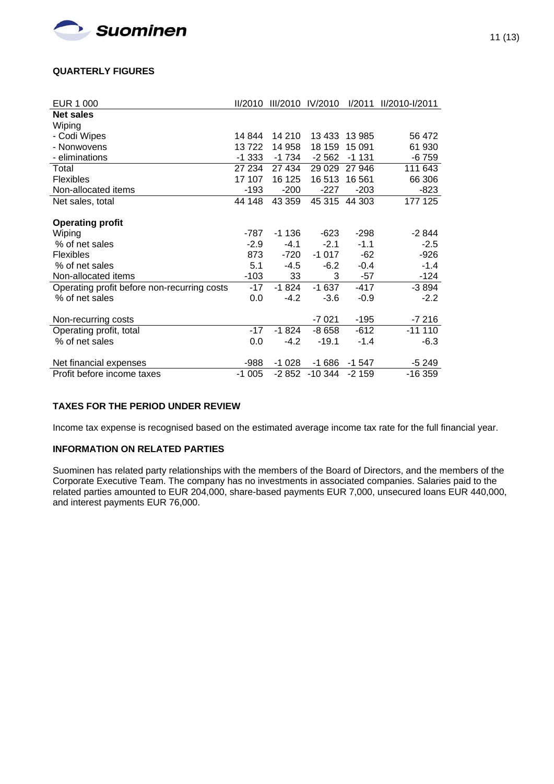

### **QUARTERLY FIGURES**

| <b>EUR 1 000</b>                            | II/2010 |         | III/2010 IV/2010 | I/2011  | II/2010-I/2011 |
|---------------------------------------------|---------|---------|------------------|---------|----------------|
| <b>Net sales</b>                            |         |         |                  |         |                |
| Wiping                                      |         |         |                  |         |                |
| - Codi Wipes                                | 14 844  | 14 210  | 13 4 33          | 13 985  | 56 472         |
| - Nonwovens                                 | 13722   | 14 958  | 18 159           | 15 091  | 61 930         |
| - eliminations                              | $-1333$ | $-1734$ | $-2562$          | $-1131$ | -6 759         |
| Total                                       | 27 234  | 27 434  | 29 0 29          | 27 946  | 111 643        |
| <b>Flexibles</b>                            | 17 107  | 16 125  | 16513            | 16 5 61 | 66 306         |
| Non-allocated items                         | $-193$  | $-200$  | $-227$           | $-203$  | $-823$         |
| Net sales, total                            | 44 148  | 43 359  | 45 315           | 44 303  | 177 125        |
|                                             |         |         |                  |         |                |
| <b>Operating profit</b>                     |         |         |                  |         |                |
| Wiping                                      | $-787$  | $-1136$ | -623             | -298    | $-2844$        |
| % of net sales                              | $-2.9$  | $-4.1$  | $-2.1$           | $-1.1$  | $-2.5$         |
| Flexibles                                   | 873     | $-720$  | $-1017$          | $-62$   | $-926$         |
| % of net sales                              | 5.1     | $-4.5$  | $-6.2$           | $-0.4$  | $-1.4$         |
| Non-allocated items                         | $-103$  | 33      | 3                | $-57$   | $-124$         |
| Operating profit before non-recurring costs | $-17$   | $-1824$ | $-1637$          | $-417$  | $-3894$        |
| % of net sales                              | 0.0     | $-4.2$  | $-3.6$           | $-0.9$  | $-2.2$         |
|                                             |         |         |                  |         |                |
| Non-recurring costs                         |         |         | $-7021$          | $-195$  | $-7216$        |
| Operating profit, total                     | $-17$   | $-1824$ | $-8658$          | $-612$  | $-11110$       |
| % of net sales                              | 0.0     | $-4.2$  | $-19.1$          | $-1.4$  | $-6.3$         |
|                                             |         |         |                  |         |                |
| Net financial expenses                      | -988    | $-1028$ | $-1686$          | $-1547$ | $-5249$        |
| Profit before income taxes                  | $-1005$ | $-2852$ | $-10344$         | $-2159$ | -16 359        |

### **TAXES FOR THE PERIOD UNDER REVIEW**

Income tax expense is recognised based on the estimated average income tax rate for the full financial year.

### **INFORMATION ON RELATED PARTIES**

Suominen has related party relationships with the members of the Board of Directors, and the members of the Corporate Executive Team. The company has no investments in associated companies. Salaries paid to the related parties amounted to EUR 204,000, share-based payments EUR 7,000, unsecured loans EUR 440,000, and interest payments EUR 76,000.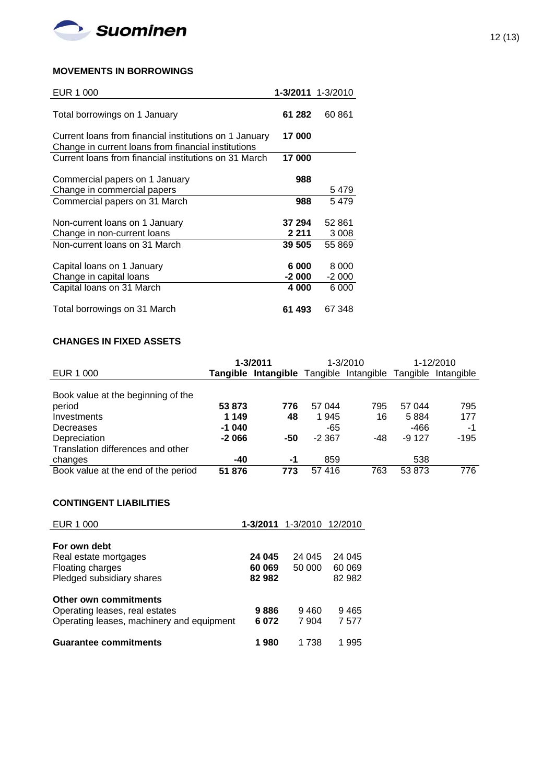

### **MOVEMENTS IN BORROWINGS**

| EUR 1 000                                                                                                     | 1-3/2011 1-3/2010 |         |
|---------------------------------------------------------------------------------------------------------------|-------------------|---------|
| Total borrowings on 1 January                                                                                 | 61 282            | 60 861  |
| Current loans from financial institutions on 1 January<br>Change in current loans from financial institutions | 17 000            |         |
| Current loans from financial institutions on 31 March                                                         | 17 000            |         |
| Commercial papers on 1 January                                                                                | 988               |         |
| Change in commercial papers                                                                                   |                   | 5 479   |
| Commercial papers on 31 March                                                                                 | 988               | 5479    |
|                                                                                                               |                   |         |
| Non-current loans on 1 January                                                                                | 37 294            | 52 861  |
| Change in non-current loans                                                                                   | 2 211             | 3 0 0 8 |
| Non-current loans on 31 March                                                                                 | 39 505            | 55 869  |
|                                                                                                               |                   |         |
| Capital loans on 1 January                                                                                    | 6 000             | 8 0 0 0 |
| Change in capital loans                                                                                       | -2 000            | $-2000$ |
| Capital loans on 31 March                                                                                     | 4 000             | 6 000   |
|                                                                                                               |                   |         |
| Total borrowings on 31 March                                                                                  | 61 493            | 67 348  |

# **CHANGES IN FIXED ASSETS**

|                                     | 1-3/2011 |                                                  | 1-3/2010 |     | 1-12/2010 |            |
|-------------------------------------|----------|--------------------------------------------------|----------|-----|-----------|------------|
| EUR 1 000                           |          | Tangible Intangible Tangible Intangible Tangible |          |     |           | Intangible |
|                                     |          |                                                  |          |     |           |            |
| Book value at the beginning of the  |          |                                                  |          |     |           |            |
| period                              | 53 873   | 776                                              | 57 044   | 795 | 57 044    | 795        |
| Investments                         | 1 149    | 48                                               | 1945     | 16  | 5884      | 177        |
| Decreases                           | $-1040$  |                                                  | -65      |     | -466      | -1         |
| Depreciation                        | $-2066$  | -50                                              | $-2.367$ | -48 | $-9127$   | $-195$     |
| Translation differences and other   |          |                                                  |          |     |           |            |
| changes                             | $-40$    | -1                                               | 859      |     | 538       |            |
| Book value at the end of the period | 51 876   | 773                                              | 57416    | 763 | 53 873    | 776        |

## **CONTINGENT LIABILITIES**

| EUR 1 000                                                                                                                            |                           | 1-3/2011 1-3/2010 12/2010 |                            |
|--------------------------------------------------------------------------------------------------------------------------------------|---------------------------|---------------------------|----------------------------|
| For own debt<br>Real estate mortgages<br>Floating charges<br>Pledged subsidiary shares                                               | 24 045<br>60 069<br>82982 | 24 045<br>50 000          | 24 045<br>60 069<br>82 982 |
| Other own commitments<br>Operating leases, real estates<br>Operating leases, machinery and equipment<br><b>Guarantee commitments</b> | 9886<br>6072<br>980       | 9460<br>7 904<br>1 738    | 9465<br>7 577<br>995       |